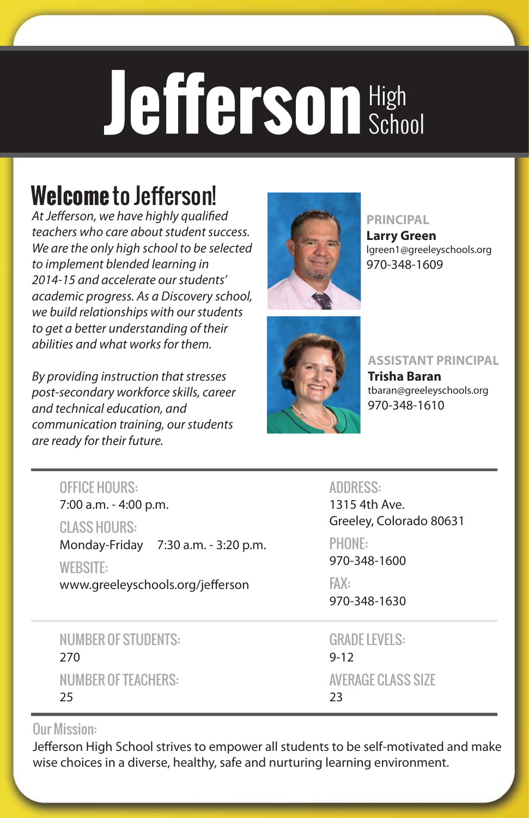# Jefferson High School

## **Welcome** to Jefferson!

At Jefferson, we have highly qualified teachers who care about student success. We are the only high school to be selected to implement blended learning in 2014-15 and accelerate our students' academic progress. As a Discovery school, we build relationships with our students to get a better understanding of their abilities and what works for them.

By providing instruction that stresses post-secondary workforce skills, career and technical education, and communication training, our students are ready for their future.



#### **PRINCIPAL**

**Larry Green** lgreen1@greeleyschools.org 970-348-1609



#### **ASSISTANT PRINCIPAL**

**Trisha Baran** tbaran@greeleyschools.org 970-348-1610

#### **OFFICE HOURS:**

7:00 a.m. - 4:00 p.m.

**CLASS HOURS:** wonday-Friday 7:30 a.m. - 3:20 p.m.

**WEBSITE:** www.greeleyschools.org/jefferson

#### **NUMBER OF STUDENTS:** 270 **NUMBER OF TEACHERS:** number of teachers:<br>25 25

**ADDRESS:** 1315 4th Ave. Greeley, Colorado 80631

PHONE: 970-348-1600

 $FAX:$ FAX: 970-348-1630

**GRADE LEVELS:**  $9-12$ **AVERAGE CLASS SIZE**  $\overline{\phantom{a}}$ 23

#### **Our Mission:**

Jefferson High School strives to empower all students to be self-motivated and make wise choices in a diverse, healthy, safe and nurturing learning environment.